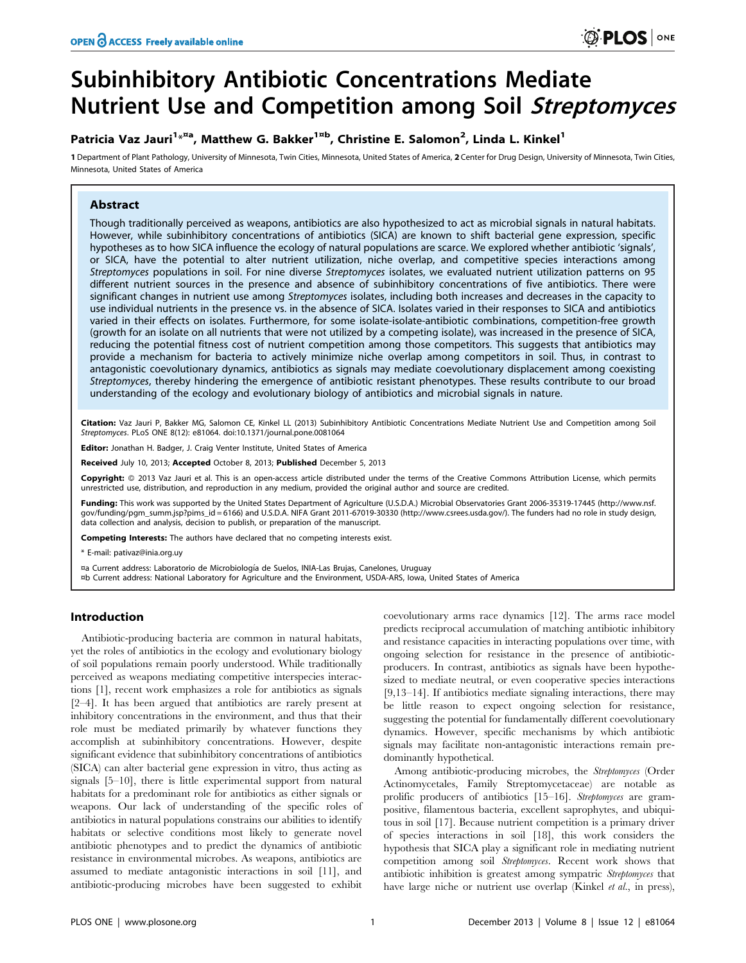# Subinhibitory Antibiotic Concentrations Mediate Nutrient Use and Competition among Soil Streptomyces

# Patricia Vaz Jauri<sup>1<sub>\*</sub>¤a</sup>, Matthew G. Bakker<sup>1¤b</sup>, Christine E. Salomon<sup>2</sup>, Linda L. Kinkel<sup>1</sup>

1 Department of Plant Pathology, University of Minnesota, Twin Cities, Minnesota, United States of America, 2 Center for Drug Design, University of Minnesota, Twin Cities, Minnesota, United States of America

# Abstract

Though traditionally perceived as weapons, antibiotics are also hypothesized to act as microbial signals in natural habitats. However, while subinhibitory concentrations of antibiotics (SICA) are known to shift bacterial gene expression, specific hypotheses as to how SICA influence the ecology of natural populations are scarce. We explored whether antibiotic 'signals', or SICA, have the potential to alter nutrient utilization, niche overlap, and competitive species interactions among Streptomyces populations in soil. For nine diverse Streptomyces isolates, we evaluated nutrient utilization patterns on 95 different nutrient sources in the presence and absence of subinhibitory concentrations of five antibiotics. There were significant changes in nutrient use among Streptomyces isolates, including both increases and decreases in the capacity to use individual nutrients in the presence vs. in the absence of SICA. Isolates varied in their responses to SICA and antibiotics varied in their effects on isolates. Furthermore, for some isolate-isolate-antibiotic combinations, competition-free growth (growth for an isolate on all nutrients that were not utilized by a competing isolate), was increased in the presence of SICA, reducing the potential fitness cost of nutrient competition among those competitors. This suggests that antibiotics may provide a mechanism for bacteria to actively minimize niche overlap among competitors in soil. Thus, in contrast to antagonistic coevolutionary dynamics, antibiotics as signals may mediate coevolutionary displacement among coexisting Streptomyces, thereby hindering the emergence of antibiotic resistant phenotypes. These results contribute to our broad understanding of the ecology and evolutionary biology of antibiotics and microbial signals in nature.

Citation: Vaz Jauri P, Bakker MG, Salomon CE, Kinkel LL (2013) Subinhibitory Antibiotic Concentrations Mediate Nutrient Use and Competition among Soil Streptomyces. PLoS ONE 8(12): e81064. doi:10.1371/journal.pone.0081064

Editor: Jonathan H. Badger, J. Craig Venter Institute, United States of America

Received July 10, 2013; Accepted October 8, 2013; Published December 5, 2013

Copyright: © 2013 Vaz Jauri et al. This is an open-access article distributed under the terms of the Creative Commons Attribution License, which permits unrestricted use, distribution, and reproduction in any medium, provided the original author and source are credited.

Funding: This work was supported by the United States Department of Agriculture (U.S.D.A.) Microbial Observatories Grant 2006-35319-17445 (http://www.nsf. gov/funding/pgm\_summ.jsp?pims\_id = 6166) and U.S.D.A. NIFA Grant 2011-67019-30330 (http://www.csrees.usda.gov/). The funders had no role in study design, data collection and analysis, decision to publish, or preparation of the manuscript.

Competing Interests: The authors have declared that no competing interests exist.

\* E-mail: pativaz@inia.org.uy

¤a Current address: Laboratorio de Microbiología de Suelos, INIA-Las Brujas, Canelones, Uruguay

¤b Current address: National Laboratory for Agriculture and the Environment, USDA-ARS, Iowa, United States of America

## Introduction

Antibiotic-producing bacteria are common in natural habitats, yet the roles of antibiotics in the ecology and evolutionary biology of soil populations remain poorly understood. While traditionally perceived as weapons mediating competitive interspecies interactions [1], recent work emphasizes a role for antibiotics as signals [2–4]. It has been argued that antibiotics are rarely present at inhibitory concentrations in the environment, and thus that their role must be mediated primarily by whatever functions they accomplish at subinhibitory concentrations. However, despite significant evidence that subinhibitory concentrations of antibiotics (SICA) can alter bacterial gene expression in vitro, thus acting as signals [5–10], there is little experimental support from natural habitats for a predominant role for antibiotics as either signals or weapons. Our lack of understanding of the specific roles of antibiotics in natural populations constrains our abilities to identify habitats or selective conditions most likely to generate novel antibiotic phenotypes and to predict the dynamics of antibiotic resistance in environmental microbes. As weapons, antibiotics are assumed to mediate antagonistic interactions in soil [11], and antibiotic-producing microbes have been suggested to exhibit

coevolutionary arms race dynamics [12]. The arms race model predicts reciprocal accumulation of matching antibiotic inhibitory and resistance capacities in interacting populations over time, with ongoing selection for resistance in the presence of antibioticproducers. In contrast, antibiotics as signals have been hypothesized to mediate neutral, or even cooperative species interactions [9,13–14]. If antibiotics mediate signaling interactions, there may be little reason to expect ongoing selection for resistance, suggesting the potential for fundamentally different coevolutionary dynamics. However, specific mechanisms by which antibiotic signals may facilitate non-antagonistic interactions remain predominantly hypothetical.

Among antibiotic-producing microbes, the Streptomyces (Order Actinomycetales, Family Streptomycetaceae) are notable as prolific producers of antibiotics [15–16]. Streptomyces are grampositive, filamentous bacteria, excellent saprophytes, and ubiquitous in soil [17]. Because nutrient competition is a primary driver of species interactions in soil [18], this work considers the hypothesis that SICA play a significant role in mediating nutrient competition among soil Streptomyces. Recent work shows that antibiotic inhibition is greatest among sympatric Streptomyces that have large niche or nutrient use overlap (Kinkel et al., in press),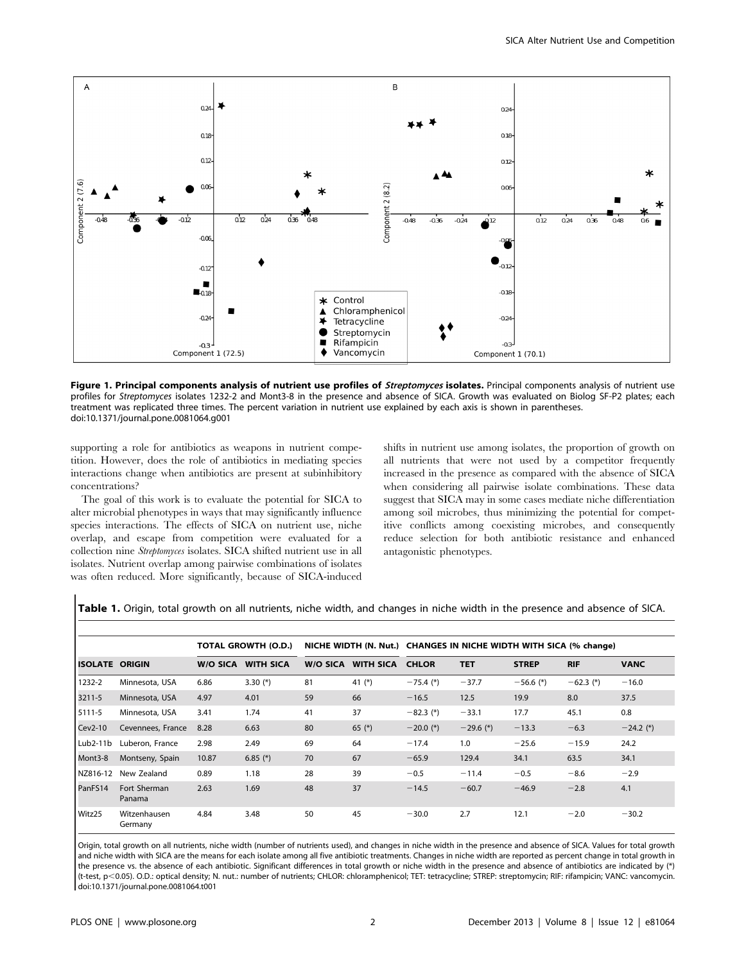

Figure 1. Principal components analysis of nutrient use profiles of Streptomyces isolates. Principal components analysis of nutrient use profiles for Streptomyces isolates 1232-2 and Mont3-8 in the presence and absence of SICA. Growth was evaluated on Biolog SF-P2 plates; each treatment was replicated three times. The percent variation in nutrient use explained by each axis is shown in parentheses. doi:10.1371/journal.pone.0081064.g001

supporting a role for antibiotics as weapons in nutrient competition. However, does the role of antibiotics in mediating species interactions change when antibiotics are present at subinhibitory concentrations?

The goal of this work is to evaluate the potential for SICA to alter microbial phenotypes in ways that may significantly influence species interactions. The effects of SICA on nutrient use, niche overlap, and escape from competition were evaluated for a collection nine Streptomyces isolates. SICA shifted nutrient use in all isolates. Nutrient overlap among pairwise combinations of isolates was often reduced. More significantly, because of SICA-induced shifts in nutrient use among isolates, the proportion of growth on all nutrients that were not used by a competitor frequently increased in the presence as compared with the absence of SICA when considering all pairwise isolate combinations. These data suggest that SICA may in some cases mediate niche differentiation among soil microbes, thus minimizing the potential for competitive conflicts among coexisting microbes, and consequently reduce selection for both antibiotic resistance and enhanced antagonistic phenotypes.

|  |  |  |  |  |  | Table 1. Origin, total growth on all nutrients, niche width, and changes in niche width in the presence and absence of SICA. |
|--|--|--|--|--|--|------------------------------------------------------------------------------------------------------------------------------|
|--|--|--|--|--|--|------------------------------------------------------------------------------------------------------------------------------|

| <b>ISOLATE ORIGIN</b> |                         | <b>TOTAL GROWTH (O.D.)</b> |                  |                 |                  | NICHE WIDTH (N. Nut.) CHANGES IN NICHE WIDTH WITH SICA (% change) |             |              |             |             |
|-----------------------|-------------------------|----------------------------|------------------|-----------------|------------------|-------------------------------------------------------------------|-------------|--------------|-------------|-------------|
|                       |                         | <b>W/O SICA</b>            | <b>WITH SICA</b> | <b>W/O SICA</b> | <b>WITH SICA</b> | <b>CHLOR</b>                                                      | <b>TET</b>  | <b>STREP</b> | <b>RIF</b>  | <b>VANC</b> |
| 1232-2                | Minnesota, USA          | 6.86                       | 3.30 $(*)$       | 81              | 41 $(*)$         | $-75.4$ (*)                                                       | $-37.7$     | $-56.6$ (*)  | $-62.3$ (*) | $-16.0$     |
| 3211-5                | Minnesota, USA          | 4.97                       | 4.01             | 59              | 66               | $-16.5$                                                           | 12.5        | 19.9         | 8.0         | 37.5        |
| 5111-5                | Minnesota, USA          | 3.41                       | 1.74             | 41              | 37               | $-82.3$ (*)                                                       | $-33.1$     | 17.7         | 45.1        | 0.8         |
| Cev2-10               | Cevennees, France       | 8.28                       | 6.63             | 80              | 65 $(*)$         | $-20.0$ (*)                                                       | $-29.6$ (*) | $-13.3$      | $-6.3$      | $-24.2$ (*) |
| Lub2-11b              | Luberon, France         | 2.98                       | 2.49             | 69              | 64               | $-17.4$                                                           | 1.0         | $-25.6$      | $-15.9$     | 24.2        |
| Mont3-8               | Montseny, Spain         | 10.87                      | 6.85 $(*)$       | 70              | 67               | $-65.9$                                                           | 129.4       | 34.1         | 63.5        | 34.1        |
| NZ816-12              | New Zealand             | 0.89                       | 1.18             | 28              | 39               | $-0.5$                                                            | $-11.4$     | $-0.5$       | $-8.6$      | $-2.9$      |
| PanFS14               | Fort Sherman<br>Panama  | 2.63                       | 1.69             | 48              | 37               | $-14.5$                                                           | $-60.7$     | $-46.9$      | $-2.8$      | 4.1         |
| Witz25                | Witzenhausen<br>Germany | 4.84                       | 3.48             | 50              | 45               | $-30.0$                                                           | 2.7         | 12.1         | $-2.0$      | $-30.2$     |

Origin, total growth on all nutrients, niche width (number of nutrients used), and changes in niche width in the presence and absence of SICA. Values for total growth and niche width with SICA are the means for each isolate among all five antibiotic treatments. Changes in niche width are reported as percent change in total growth in the presence vs. the absence of each antibiotic. Significant differences in total growth or niche width in the presence and absence of antibiotics are indicated by (\*) (t-test, p<0.05). O.D.: optical density; N. nut.: number of nutrients; CHLOR: chloramphenicol; TET: tetracycline; STREP: streptomycin; RIF: rifampicin; VANC: vancomycin. doi:10.1371/journal.pone.0081064.t001

 $\overline{\phantom{a}}$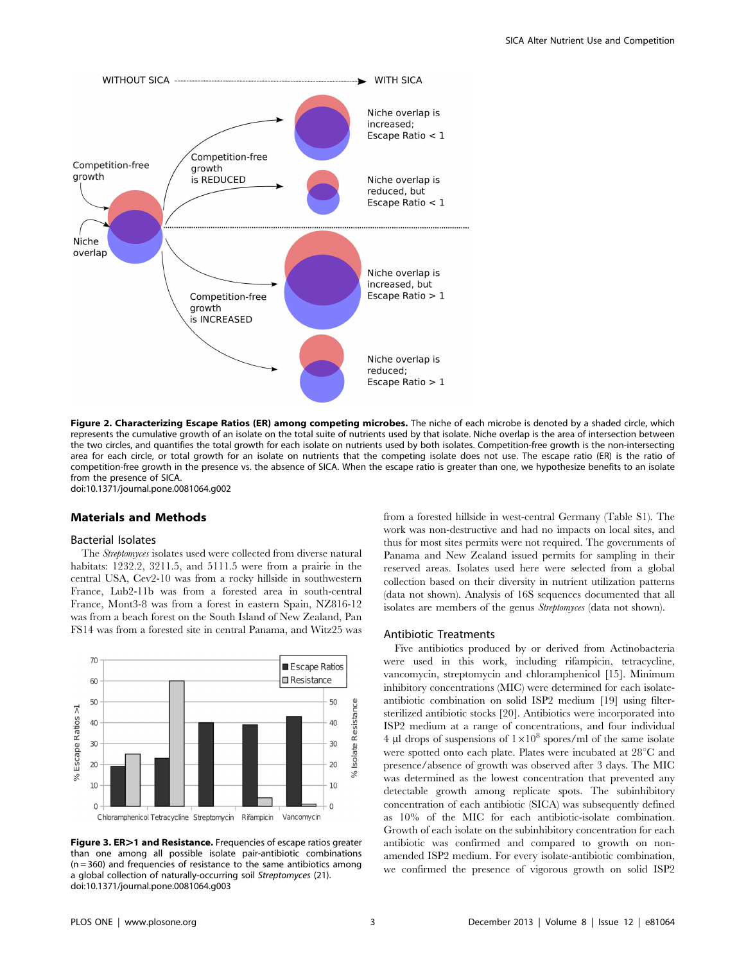

Figure 2. Characterizing Escape Ratios (ER) among competing microbes. The niche of each microbe is denoted by a shaded circle, which represents the cumulative growth of an isolate on the total suite of nutrients used by that isolate. Niche overlap is the area of intersection between the two circles, and quantifies the total growth for each isolate on nutrients used by both isolates. Competition-free growth is the non-intersecting area for each circle, or total growth for an isolate on nutrients that the competing isolate does not use. The escape ratio (ER) is the ratio of competition-free growth in the presence vs. the absence of SICA. When the escape ratio is greater than one, we hypothesize benefits to an isolate from the presence of SICA.

doi:10.1371/journal.pone.0081064.g002

# Materials and Methods

# Bacterial Isolates

The Streptomyces isolates used were collected from diverse natural habitats: 1232.2, 3211.5, and 5111.5 were from a prairie in the central USA, Cev2-10 was from a rocky hillside in southwestern France, Lub2-11b was from a forested area in south-central France, Mont3-8 was from a forest in eastern Spain, NZ816-12 was from a beach forest on the South Island of New Zealand, Pan FS14 was from a forested site in central Panama, and Witz25 was



Figure 3. ER>1 and Resistance. Frequencies of escape ratios greater than one among all possible isolate pair-antibiotic combinations  $(n = 360)$  and frequencies of resistance to the same antibiotics among a global collection of naturally-occurring soil Streptomyces (21). doi:10.1371/journal.pone.0081064.g003

from a forested hillside in west-central Germany (Table S1). The work was non-destructive and had no impacts on local sites, and thus for most sites permits were not required. The governments of Panama and New Zealand issued permits for sampling in their reserved areas. Isolates used here were selected from a global collection based on their diversity in nutrient utilization patterns (data not shown). Analysis of 16S sequences documented that all isolates are members of the genus Streptomyces (data not shown).

#### Antibiotic Treatments

Five antibiotics produced by or derived from Actinobacteria were used in this work, including rifampicin, tetracycline, vancomycin, streptomycin and chloramphenicol [15]. Minimum inhibitory concentrations (MIC) were determined for each isolateantibiotic combination on solid ISP2 medium [19] using filtersterilized antibiotic stocks [20]. Antibiotics were incorporated into ISP2 medium at a range of concentrations, and four individual 4 µl drops of suspensions of  $1\times10^8$  spores/ml of the same isolate were spotted onto each plate. Plates were incubated at 28°C and presence/absence of growth was observed after 3 days. The MIC was determined as the lowest concentration that prevented any detectable growth among replicate spots. The subinhibitory concentration of each antibiotic (SICA) was subsequently defined as 10% of the MIC for each antibiotic-isolate combination. Growth of each isolate on the subinhibitory concentration for each antibiotic was confirmed and compared to growth on nonamended ISP2 medium. For every isolate-antibiotic combination, we confirmed the presence of vigorous growth on solid ISP2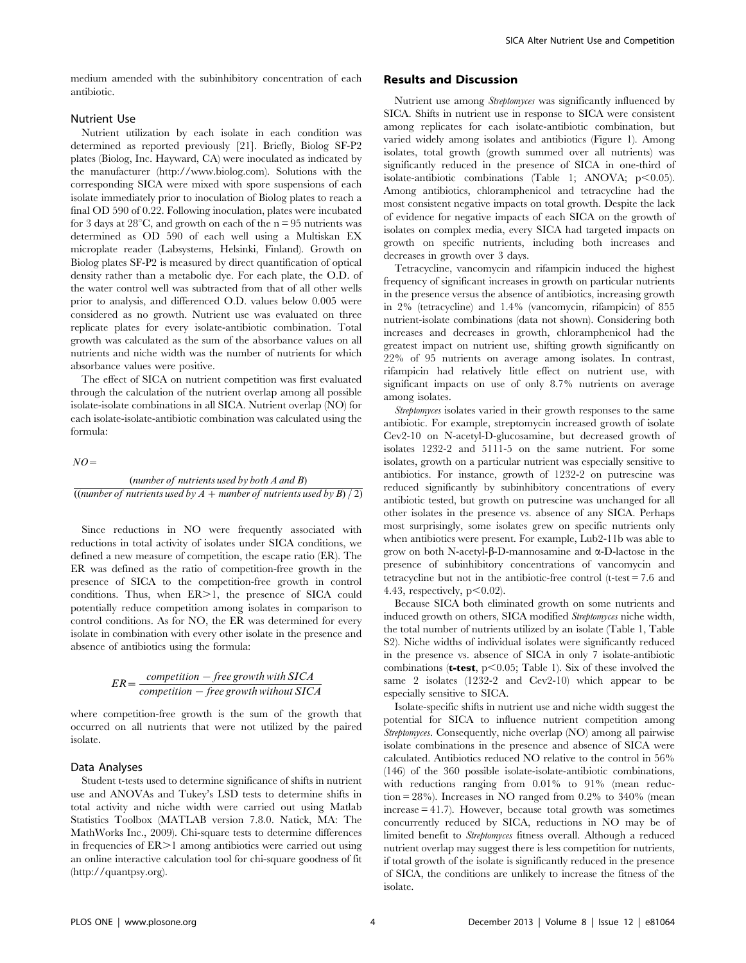medium amended with the subinhibitory concentration of each antibiotic.

## Nutrient Use

Nutrient utilization by each isolate in each condition was determined as reported previously [21]. Briefly, Biolog SF-P2 plates (Biolog, Inc. Hayward, CA) were inoculated as indicated by the manufacturer (http://www.biolog.com). Solutions with the corresponding SICA were mixed with spore suspensions of each isolate immediately prior to inoculation of Biolog plates to reach a final OD 590 of 0.22. Following inoculation, plates were incubated for 3 days at  $28^{\circ}$ C, and growth on each of the n = 95 nutrients was determined as OD 590 of each well using a Multiskan EX microplate reader (Labsystems, Helsinki, Finland). Growth on Biolog plates SF-P2 is measured by direct quantification of optical density rather than a metabolic dye. For each plate, the O.D. of the water control well was subtracted from that of all other wells prior to analysis, and differenced O.D. values below 0.005 were considered as no growth. Nutrient use was evaluated on three replicate plates for every isolate-antibiotic combination. Total growth was calculated as the sum of the absorbance values on all nutrients and niche width was the number of nutrients for which absorbance values were positive.

The effect of SICA on nutrient competition was first evaluated through the calculation of the nutrient overlap among all possible isolate-isolate combinations in all SICA. Nutrient overlap (NO) for each isolate-isolate-antibiotic combination was calculated using the formula:

 $NO=$ 

(*number of nutrients used by both A and B*)  
((*number of nutrients used by A + number of nutrients used by B*) 
$$
\neq
$$
 2)

Since reductions in NO were frequently associated with reductions in total activity of isolates under SICA conditions, we defined a new measure of competition, the escape ratio (ER). The ER was defined as the ratio of competition-free growth in the presence of SICA to the competition-free growth in control conditions. Thus, when  $ER>1$ , the presence of SICA could potentially reduce competition among isolates in comparison to control conditions. As for NO, the ER was determined for every isolate in combination with every other isolate in the presence and absence of antibiotics using the formula:

$$
ER = \frac{ competition - free growth with SICA}{ competition - free growth without SICA}
$$

where competition-free growth is the sum of the growth that occurred on all nutrients that were not utilized by the paired isolate.

#### Data Analyses

Student t-tests used to determine significance of shifts in nutrient use and ANOVAs and Tukey's LSD tests to determine shifts in total activity and niche width were carried out using Matlab Statistics Toolbox (MATLAB version 7.8.0. Natick, MA: The MathWorks Inc., 2009). Chi-square tests to determine differences in frequencies of  $ER>1$  among antibiotics were carried out using an online interactive calculation tool for chi-square goodness of fit (http://quantpsy.org).

#### Results and Discussion

Nutrient use among Streptomyces was significantly influenced by SICA. Shifts in nutrient use in response to SICA were consistent among replicates for each isolate-antibiotic combination, but varied widely among isolates and antibiotics (Figure 1). Among isolates, total growth (growth summed over all nutrients) was significantly reduced in the presence of SICA in one-third of isolate-antibiotic combinations (Table 1; ANOVA;  $p<0.05$ ). Among antibiotics, chloramphenicol and tetracycline had the most consistent negative impacts on total growth. Despite the lack of evidence for negative impacts of each SICA on the growth of isolates on complex media, every SICA had targeted impacts on growth on specific nutrients, including both increases and decreases in growth over 3 days.

Tetracycline, vancomycin and rifampicin induced the highest frequency of significant increases in growth on particular nutrients in the presence versus the absence of antibiotics, increasing growth in 2% (tetracycline) and 1.4% (vancomycin, rifampicin) of 855 nutrient-isolate combinations (data not shown). Considering both increases and decreases in growth, chloramphenicol had the greatest impact on nutrient use, shifting growth significantly on 22% of 95 nutrients on average among isolates. In contrast, rifampicin had relatively little effect on nutrient use, with significant impacts on use of only 8.7% nutrients on average among isolates.

Streptomyces isolates varied in their growth responses to the same antibiotic. For example, streptomycin increased growth of isolate Cev2-10 on N-acetyl-D-glucosamine, but decreased growth of isolates 1232-2 and 5111-5 on the same nutrient. For some isolates, growth on a particular nutrient was especially sensitive to antibiotics. For instance, growth of 1232-2 on putrescine was reduced significantly by subinhibitory concentrations of every antibiotic tested, but growth on putrescine was unchanged for all other isolates in the presence vs. absence of any SICA. Perhaps most surprisingly, some isolates grew on specific nutrients only when antibiotics were present. For example, Lub2-11b was able to grow on both N-acetyl- $\beta$ -D-mannosamine and  $\alpha$ -D-lactose in the presence of subinhibitory concentrations of vancomycin and tetracycline but not in the antibiotic-free control  $(t$ -test  $= 7.6$  and 4.43, respectively,  $p<0.02$ ).

Because SICA both eliminated growth on some nutrients and induced growth on others, SICA modified Streptomyces niche width, the total number of nutrients utilized by an isolate (Table 1, Table S2). Niche widths of individual isolates were significantly reduced in the presence vs. absence of SICA in only 7 isolate-antibiotic combinations (**t-test**,  $p<0.05$ ; Table 1). Six of these involved the same 2 isolates (1232-2 and Cev2-10) which appear to be especially sensitive to SICA.

Isolate-specific shifts in nutrient use and niche width suggest the potential for SICA to influence nutrient competition among Streptomyces. Consequently, niche overlap (NO) among all pairwise isolate combinations in the presence and absence of SICA were calculated. Antibiotics reduced NO relative to the control in 56% (146) of the 360 possible isolate-isolate-antibiotic combinations, with reductions ranging from 0.01% to 91% (mean reduction =  $28\%$ ). Increases in NO ranged from 0.2% to 340% (mean increase = 41.7). However, because total growth was sometimes concurrently reduced by SICA, reductions in NO may be of limited benefit to Streptomyces fitness overall. Although a reduced nutrient overlap may suggest there is less competition for nutrients, if total growth of the isolate is significantly reduced in the presence of SICA, the conditions are unlikely to increase the fitness of the isolate.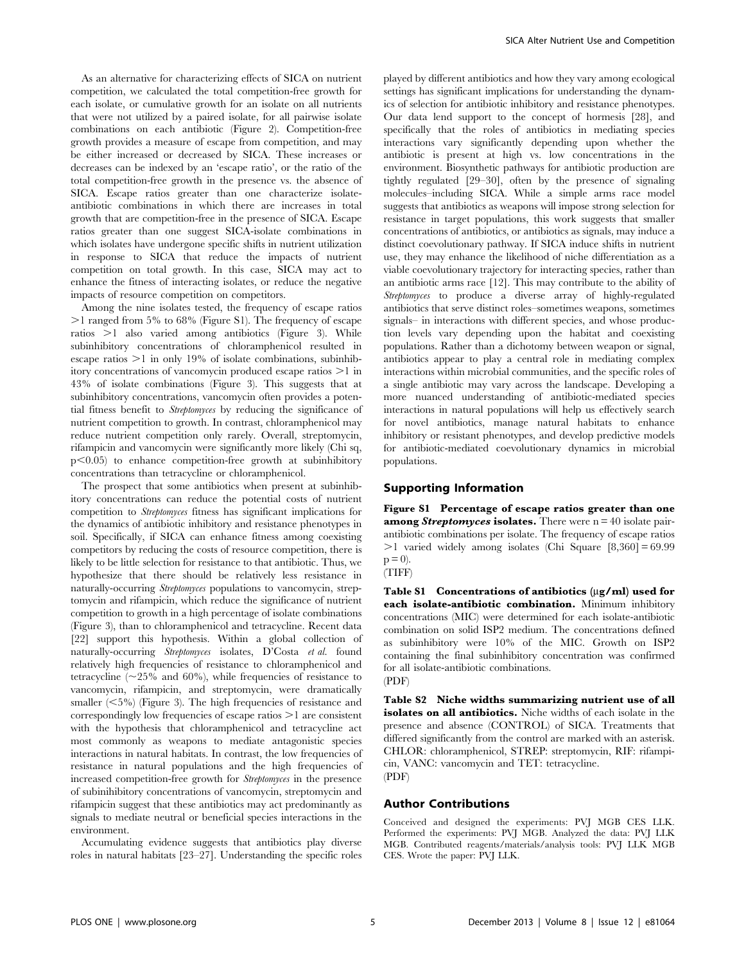As an alternative for characterizing effects of SICA on nutrient competition, we calculated the total competition-free growth for each isolate, or cumulative growth for an isolate on all nutrients that were not utilized by a paired isolate, for all pairwise isolate combinations on each antibiotic (Figure 2). Competition-free growth provides a measure of escape from competition, and may be either increased or decreased by SICA. These increases or decreases can be indexed by an 'escape ratio', or the ratio of the total competition-free growth in the presence vs. the absence of SICA. Escape ratios greater than one characterize isolateantibiotic combinations in which there are increases in total growth that are competition-free in the presence of SICA. Escape ratios greater than one suggest SICA-isolate combinations in which isolates have undergone specific shifts in nutrient utilization in response to SICA that reduce the impacts of nutrient competition on total growth. In this case, SICA may act to enhance the fitness of interacting isolates, or reduce the negative impacts of resource competition on competitors.

Among the nine isolates tested, the frequency of escape ratios  $>1$  ranged from 5% to 68% (Figure S1). The frequency of escape ratios  $>1$  also varied among antibiotics (Figure 3). While subinhibitory concentrations of chloramphenicol resulted in escape ratios  $>1$  in only 19% of isolate combinations, subinhibitory concentrations of vancomycin produced escape ratios  $>1$  in 43% of isolate combinations (Figure 3). This suggests that at subinhibitory concentrations, vancomycin often provides a potential fitness benefit to Streptomyces by reducing the significance of nutrient competition to growth. In contrast, chloramphenicol may reduce nutrient competition only rarely. Overall, streptomycin, rifampicin and vancomycin were significantly more likely (Chi sq,  $p<0.05$ ) to enhance competition-free growth at subinhibitory concentrations than tetracycline or chloramphenicol.

The prospect that some antibiotics when present at subinhibitory concentrations can reduce the potential costs of nutrient competition to Streptomyces fitness has significant implications for the dynamics of antibiotic inhibitory and resistance phenotypes in soil. Specifically, if SICA can enhance fitness among coexisting competitors by reducing the costs of resource competition, there is likely to be little selection for resistance to that antibiotic. Thus, we hypothesize that there should be relatively less resistance in naturally-occurring Streptomyces populations to vancomycin, streptomycin and rifampicin, which reduce the significance of nutrient competition to growth in a high percentage of isolate combinations (Figure 3), than to chloramphenicol and tetracycline. Recent data [22] support this hypothesis. Within a global collection of naturally-occurring Streptomyces isolates, D'Costa et al. found relatively high frequencies of resistance to chloramphenicol and tetracycline ( $\sim$ 25% and 60%), while frequencies of resistance to vancomycin, rifampicin, and streptomycin, were dramatically smaller  $(<5\%)$  (Figure 3). The high frequencies of resistance and correspondingly low frequencies of escape ratios  $>1$  are consistent with the hypothesis that chloramphenicol and tetracycline act most commonly as weapons to mediate antagonistic species interactions in natural habitats. In contrast, the low frequencies of resistance in natural populations and the high frequencies of increased competition-free growth for Streptomyces in the presence of subinihibitory concentrations of vancomycin, streptomycin and rifampicin suggest that these antibiotics may act predominantly as signals to mediate neutral or beneficial species interactions in the environment.

Accumulating evidence suggests that antibiotics play diverse roles in natural habitats [23–27]. Understanding the specific roles played by different antibiotics and how they vary among ecological settings has significant implications for understanding the dynamics of selection for antibiotic inhibitory and resistance phenotypes. Our data lend support to the concept of hormesis [28], and specifically that the roles of antibiotics in mediating species interactions vary significantly depending upon whether the antibiotic is present at high vs. low concentrations in the environment. Biosynthetic pathways for antibiotic production are tightly regulated [29–30], often by the presence of signaling molecules–including SICA. While a simple arms race model suggests that antibiotics as weapons will impose strong selection for resistance in target populations, this work suggests that smaller concentrations of antibiotics, or antibiotics as signals, may induce a distinct coevolutionary pathway. If SICA induce shifts in nutrient use, they may enhance the likelihood of niche differentiation as a viable coevolutionary trajectory for interacting species, rather than an antibiotic arms race [12]. This may contribute to the ability of Streptomyces to produce a diverse array of highly-regulated antibiotics that serve distinct roles–sometimes weapons, sometimes signals– in interactions with different species, and whose production levels vary depending upon the habitat and coexisting populations. Rather than a dichotomy between weapon or signal, antibiotics appear to play a central role in mediating complex interactions within microbial communities, and the specific roles of a single antibiotic may vary across the landscape. Developing a more nuanced understanding of antibiotic-mediated species interactions in natural populations will help us effectively search for novel antibiotics, manage natural habitats to enhance inhibitory or resistant phenotypes, and develop predictive models for antibiotic-mediated coevolutionary dynamics in microbial populations.

#### Supporting Information

Figure S1 Percentage of escape ratios greater than one among Streptomyces isolates. There were  $n = 40$  isolate pairantibiotic combinations per isolate. The frequency of escape ratios  $>1$  varied widely among isolates (Chi Square [8,360] = 69.99  $p = 0$ ).



Table S1 Concentrations of antibiotics  $(\mu g/ml)$  used for each isolate-antibiotic combination. Minimum inhibitory concentrations (MIC) were determined for each isolate-antibiotic combination on solid ISP2 medium. The concentrations defined as subinhibitory were 10% of the MIC. Growth on ISP2 containing the final subinhibitory concentration was confirmed for all isolate-antibiotic combinations. (PDF)

Table S2 Niche widths summarizing nutrient use of all isolates on all antibiotics. Niche widths of each isolate in the presence and absence (CONTROL) of SICA. Treatments that differed significantly from the control are marked with an asterisk. CHLOR: chloramphenicol, STREP: streptomycin, RIF: rifampicin, VANC: vancomycin and TET: tetracycline. (PDF)

#### Author Contributions

Conceived and designed the experiments: PVJ MGB CES LLK. Performed the experiments: PVJ MGB. Analyzed the data: PVJ LLK MGB. Contributed reagents/materials/analysis tools: PVJ LLK MGB CES. Wrote the paper: PVJ LLK.